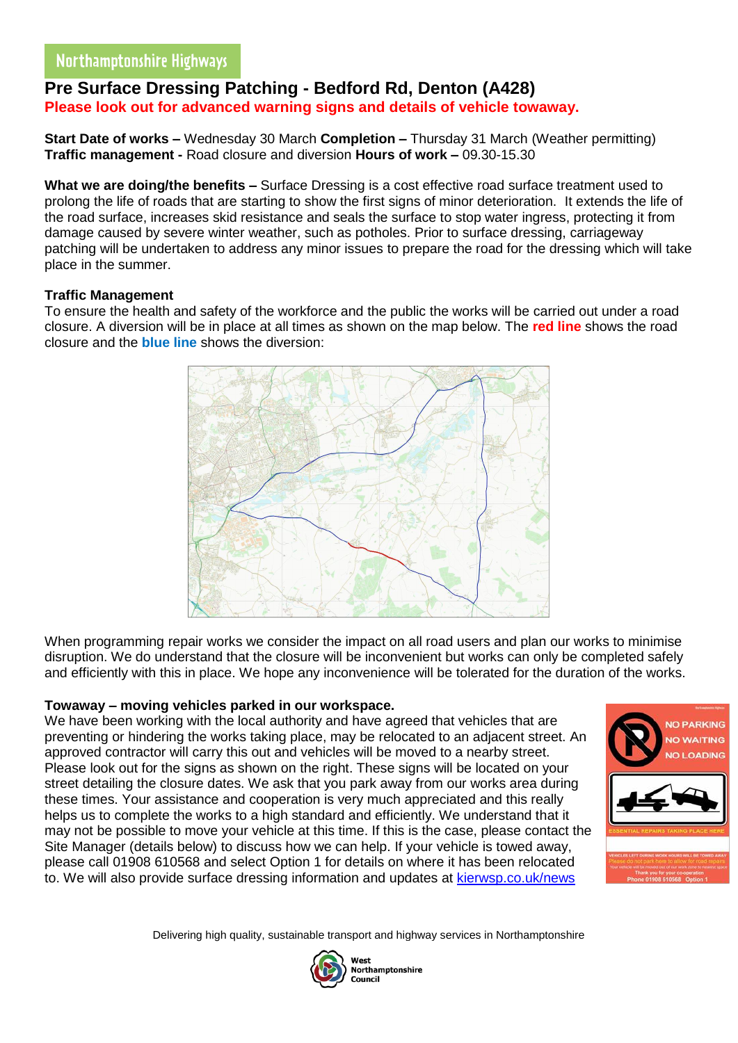## **Pre Surface Dressing Patching - Bedford Rd, Denton (A428) Please look out for advanced warning signs and details of vehicle towaway.**

**Start Date of works –** Wednesday 30 March **Completion –** Thursday 31 March (Weather permitting) **Traffic management -** Road closure and diversion **Hours of work –** 09.30-15.30

**What we are doing/the benefits –** Surface Dressing is a cost effective road surface treatment used to prolong the life of roads that are starting to show the first signs of minor deterioration. It extends the life of the road surface, increases skid resistance and seals the surface to stop water ingress, protecting it from damage caused by severe winter weather, such as potholes. Prior to surface dressing, carriageway patching will be undertaken to address any minor issues to prepare the road for the dressing which will take place in the summer.

### **Traffic Management**

To ensure the health and safety of the workforce and the public the works will be carried out under a road closure. A diversion will be in place at all times as shown on the map below. The **red line** shows the road closure and the **blue line** shows the diversion:



When programming repair works we consider the impact on all road users and plan our works to minimise disruption. We do understand that the closure will be inconvenient but works can only be completed safely and efficiently with this in place. We hope any inconvenience will be tolerated for the duration of the works.

### **Towaway – moving vehicles parked in our workspace.**

We have been working with the local authority and have agreed that vehicles that are preventing or hindering the works taking place, may be relocated to an adjacent street. An approved contractor will carry this out and vehicles will be moved to a nearby street. Please look out for the signs as shown on the right. These signs will be located on your street detailing the closure dates. We ask that you park away from our works area during these times. Your assistance and cooperation is very much appreciated and this really helps us to complete the works to a high standard and efficiently. We understand that it may not be possible to move your vehicle at this time. If this is the case, please contact the Site Manager (details below) to discuss how we can help. If your vehicle is towed away, please call 01908 610568 and select Option 1 for details on where it has been relocated to. We will also provide surface dressing information and updates at [kierwsp.co.uk/news](https://www.kierwsp.co.uk/news)



Delivering high quality, sustainable transport and highway services in Northamptonshire